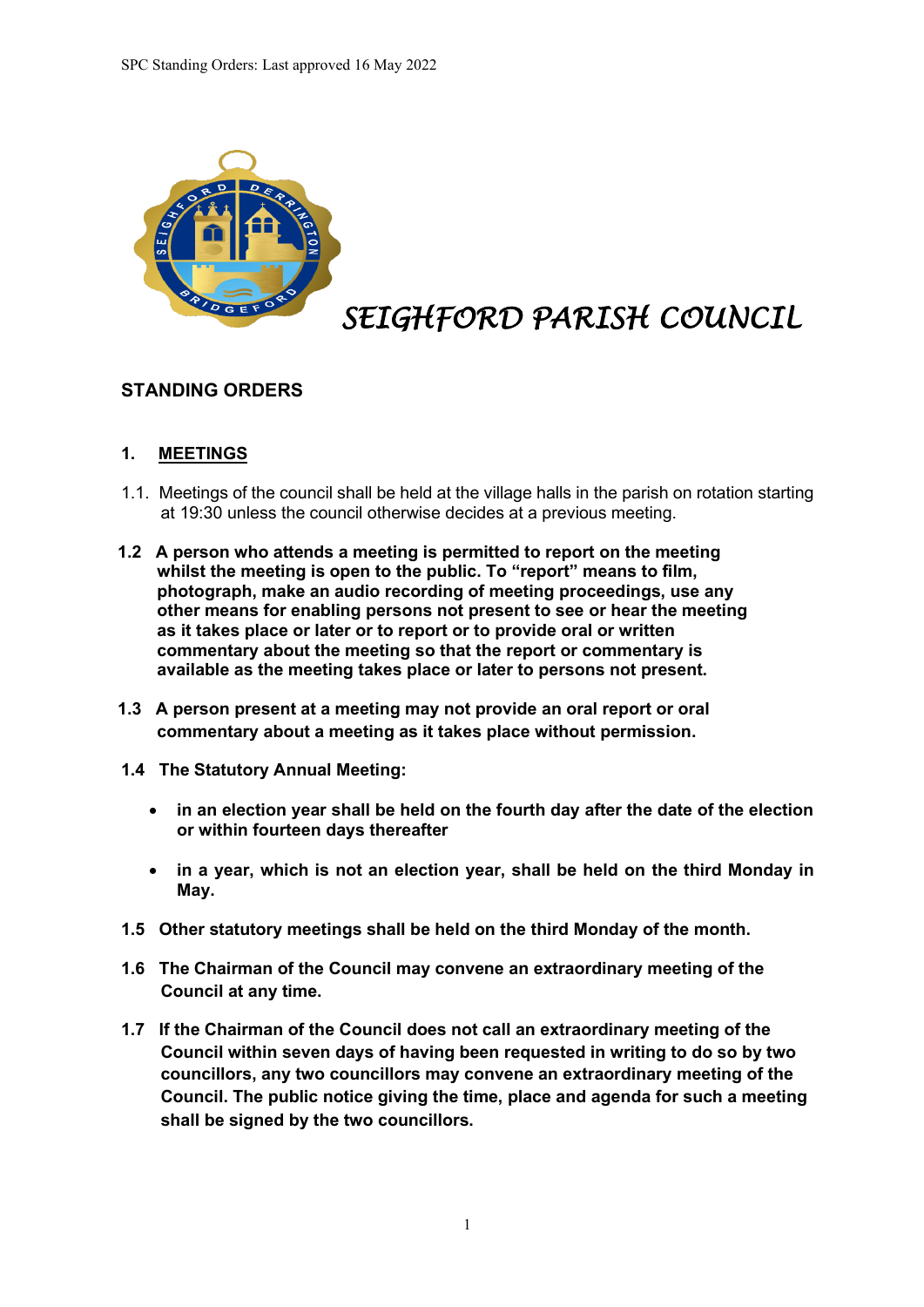

# *SEIGHFORD PARISH COUNCIL*

# **STANDING ORDERS**

## **1. MEETINGS**

- 1.1. Meetings of the council shall be held at the village halls in the parish on rotation starting at 19:30 unless the council otherwise decides at a previous meeting.
- **1.2 A person who attends a meeting is permitted to report on the meeting whilst the meeting is open to the public. To "report" means to film, photograph, make an audio recording of meeting proceedings, use any other means for enabling persons not present to see or hear the meeting as it takes place or later or to report or to provide oral or written commentary about the meeting so that the report or commentary is available as the meeting takes place or later to persons not present.**
- **1.3 A person present at a meeting may not provide an oral report or oral commentary about a meeting as it takes place without permission.**
- **1.4 The Statutory Annual Meeting:**
	- **in an election year shall be held on the fourth day after the date of the election or within fourteen days thereafter**
	- **in a year, which is not an election year, shall be held on the third Monday in May.**
- **1.5 Other statutory meetings shall be held on the third Monday of the month.**
- **1.6 The Chairman of the Council may convene an extraordinary meeting of the Council at any time.**
- **1.7 If the Chairman of the Council does not call an extraordinary meeting of the Council within seven days of having been requested in writing to do so by two councillors, any two councillors may convene an extraordinary meeting of the Council. The public notice giving the time, place and agenda for such a meeting shall be signed by the two councillors.**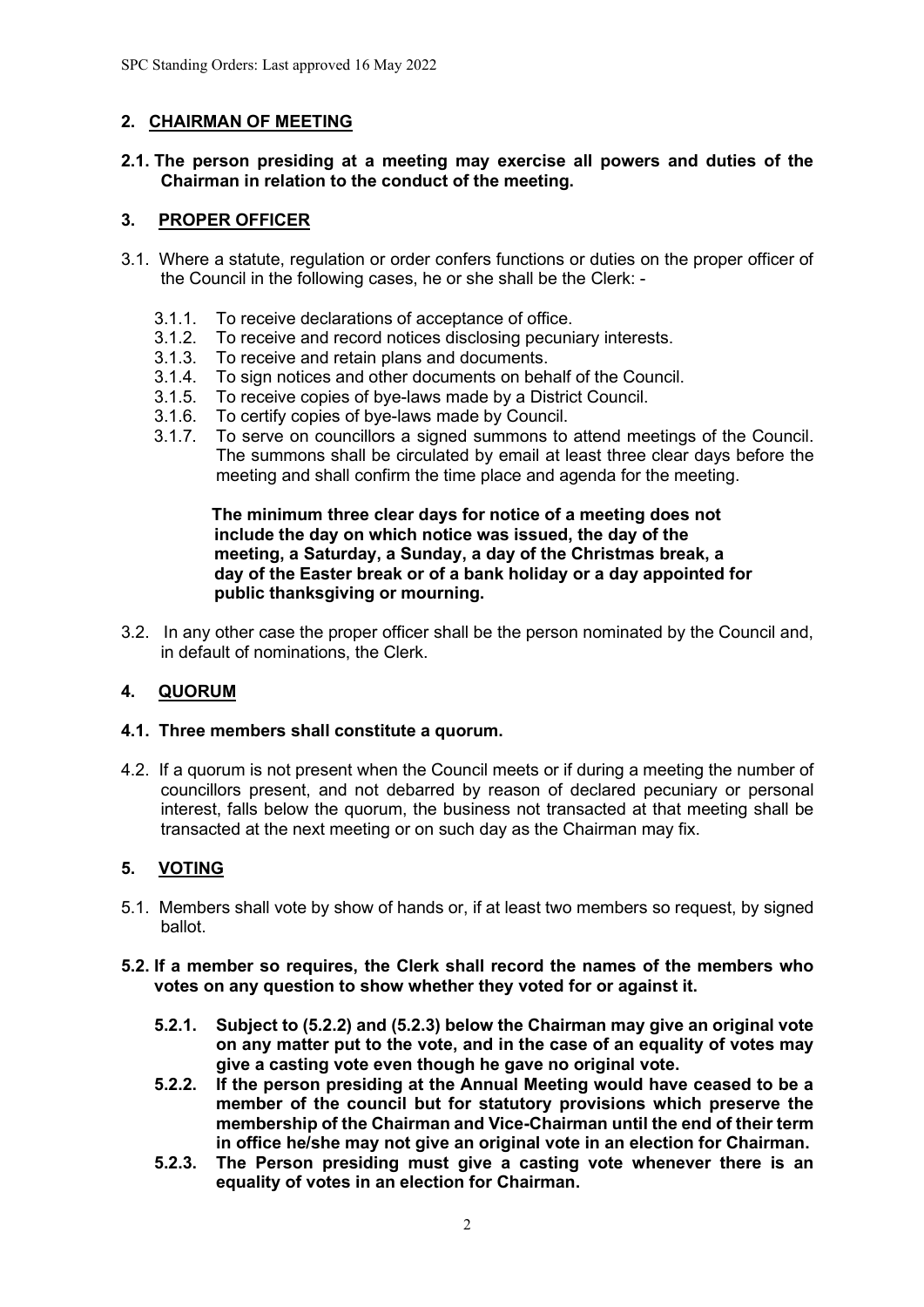# **2. CHAIRMAN OF MEETING**

#### **2.1. The person presiding at a meeting may exercise all powers and duties of the Chairman in relation to the conduct of the meeting.**

## **3. PROPER OFFICER**

- 3.1. Where a statute, regulation or order confers functions or duties on the proper officer of the Council in the following cases, he or she shall be the Clerk: -
	- 3.1.1. To receive declarations of acceptance of office.
	- 3.1.2. To receive and record notices disclosing pecuniary interests.<br>3.1.3. To receive and retain plans and documents.
	- To receive and retain plans and documents.
	- 3.1.4. To sign notices and other documents on behalf of the Council.
	- 3.1.5. To receive copies of bye-laws made by a District Council.
	- 3.1.6. To certify copies of bye-laws made by Council.
	- 3.1.7. To serve on councillors a signed summons to attend meetings of the Council. The summons shall be circulated by email at least three clear days before the meeting and shall confirm the time place and agenda for the meeting.

 **The minimum three clear days for notice of a meeting does not include the day on which notice was issued, the day of the meeting, a Saturday, a Sunday, a day of the Christmas break, a day of the Easter break or of a bank holiday or a day appointed for public thanksgiving or mourning.**

3.2. In any other case the proper officer shall be the person nominated by the Council and, in default of nominations, the Clerk.

# **4. QUORUM**

#### **4.1. Three members shall constitute a quorum.**

4.2. If a quorum is not present when the Council meets or if during a meeting the number of councillors present, and not debarred by reason of declared pecuniary or personal interest, falls below the quorum, the business not transacted at that meeting shall be transacted at the next meeting or on such day as the Chairman may fix.

# **5. VOTING**

- 5.1. Members shall vote by show of hands or, if at least two members so request, by signed ballot.
- **5.2. If a member so requires, the Clerk shall record the names of the members who votes on any question to show whether they voted for or against it.**
	- **5.2.1. Subject to (5.2.2) and (5.2.3) below the Chairman may give an original vote on any matter put to the vote, and in the case of an equality of votes may give a casting vote even though he gave no original vote.**
	- **5.2.2. If the person presiding at the Annual Meeting would have ceased to be a member of the council but for statutory provisions which preserve the membership of the Chairman and Vice-Chairman until the end of their term in office he/she may not give an original vote in an election for Chairman.**
	- **5.2.3. The Person presiding must give a casting vote whenever there is an equality of votes in an election for Chairman.**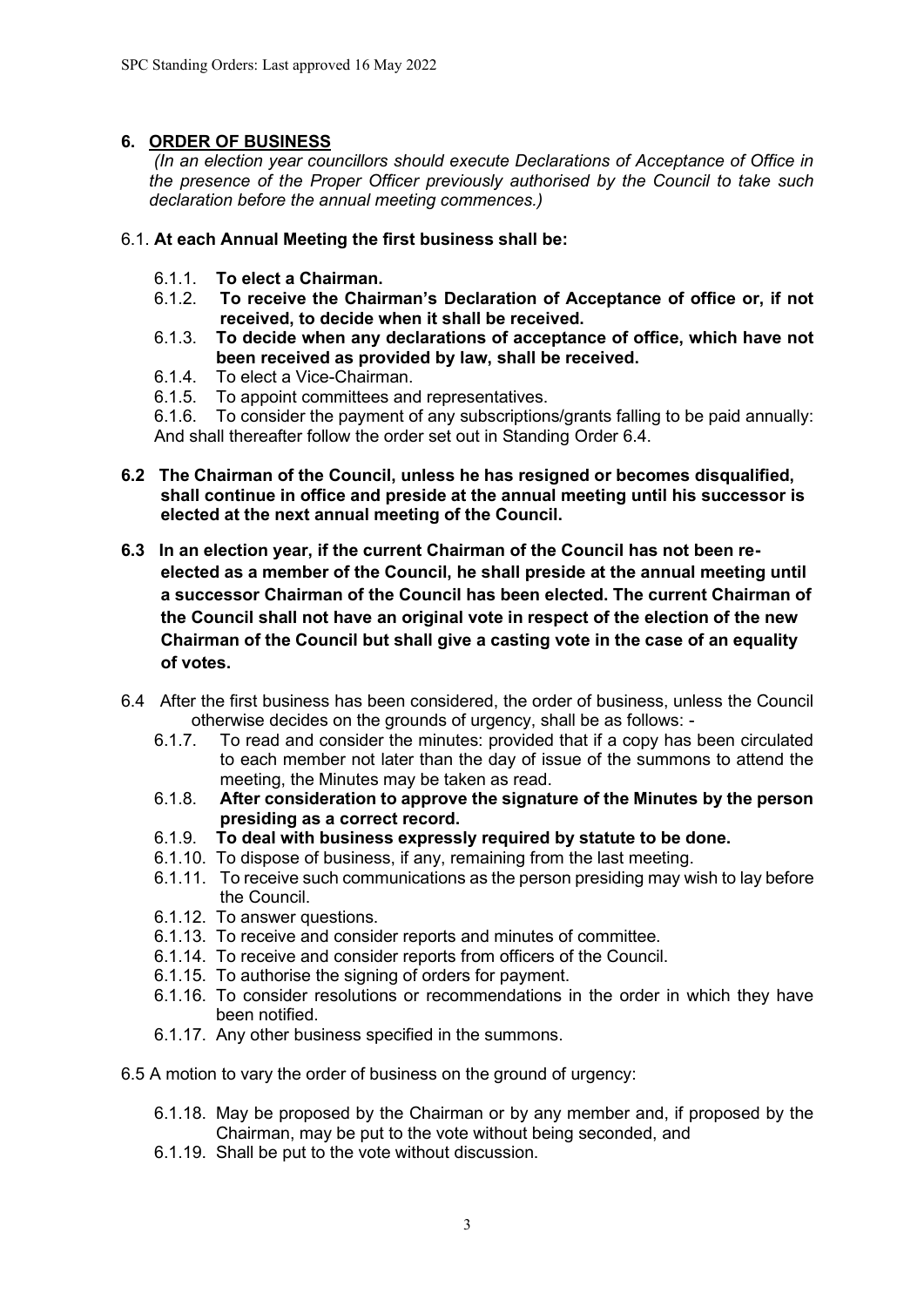# **6. ORDER OF BUSINESS**

*(In an election year councillors should execute Declarations of Acceptance of Office in the presence of the Proper Officer previously authorised by the Council to take such declaration before the annual meeting commences.)*

## 6.1. **At each Annual Meeting the first business shall be:**

- 6.1.1. **To elect a Chairman.**
- 6.1.2. **To receive the Chairman's Declaration of Acceptance of office or, if not received, to decide when it shall be received.**
- 6.1.3. **To decide when any declarations of acceptance of office, which have not been received as provided by law, shall be received.**
- 6.1.4. To elect a Vice-Chairman.
- 6.1.5. To appoint committees and representatives.

6.1.6. To consider the payment of any subscriptions/grants falling to be paid annually: And shall thereafter follow the order set out in Standing Order 6.4.

- **6.2 The Chairman of the Council, unless he has resigned or becomes disqualified, shall continue in office and preside at the annual meeting until his successor is elected at the next annual meeting of the Council.**
- **6.3 In an election year, if the current Chairman of the Council has not been reelected as a member of the Council, he shall preside at the annual meeting until a successor Chairman of the Council has been elected. The current Chairman of the Council shall not have an original vote in respect of the election of the new Chairman of the Council but shall give a casting vote in the case of an equality of votes.**
- 6.4 After the first business has been considered, the order of business, unless the Council otherwise decides on the grounds of urgency, shall be as follows: -
	- 6.1.7. To read and consider the minutes: provided that if a copy has been circulated to each member not later than the day of issue of the summons to attend the meeting, the Minutes may be taken as read.
	- 6.1.8. **After consideration to approve the signature of the Minutes by the person presiding as a correct record.**
	- 6.1.9. **To deal with business expressly required by statute to be done.**
	- 6.1.10. To dispose of business, if any, remaining from the last meeting.
	- 6.1.11. To receive such communications as the person presiding may wish to lay before the Council.
	- 6.1.12. To answer questions.
	- 6.1.13. To receive and consider reports and minutes of committee.
	- 6.1.14. To receive and consider reports from officers of the Council.
	- 6.1.15. To authorise the signing of orders for payment.
	- 6.1.16. To consider resolutions or recommendations in the order in which they have been notified.
	- 6.1.17. Any other business specified in the summons.

6.5 A motion to vary the order of business on the ground of urgency:

- 6.1.18. May be proposed by the Chairman or by any member and, if proposed by the Chairman, may be put to the vote without being seconded, and
- 6.1.19. Shall be put to the vote without discussion.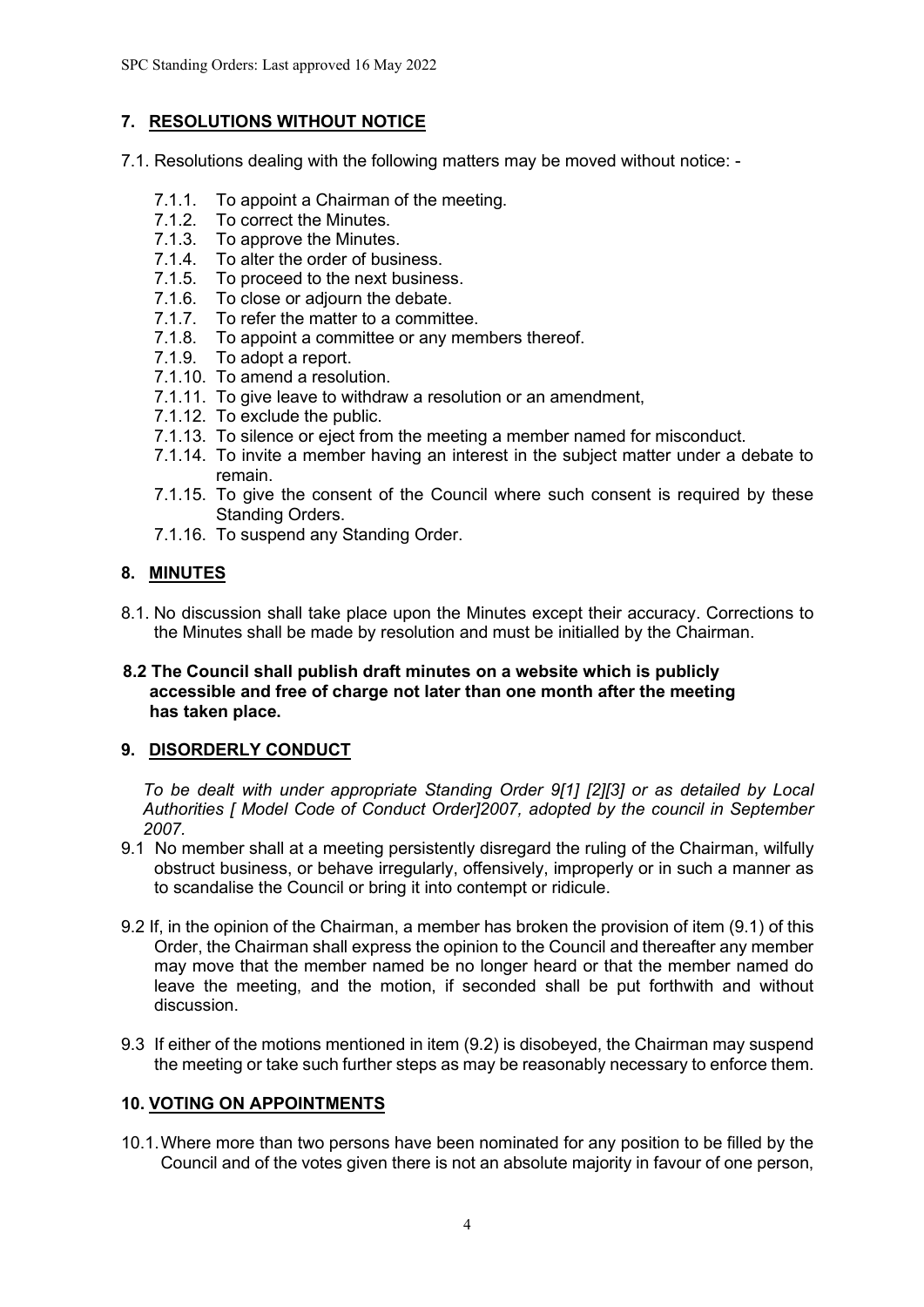# **7. RESOLUTIONS WITHOUT NOTICE**

7.1. Resolutions dealing with the following matters may be moved without notice: -

- 7.1.1. To appoint a Chairman of the meeting.
- 7.1.2. To correct the Minutes.
- 7.1.3. To approve the Minutes.
- 7.1.4. To alter the order of business.
- 7.1.5. To proceed to the next business.
- 7.1.6. To close or adjourn the debate.
- 7.1.7. To refer the matter to a committee.
- 7.1.8. To appoint a committee or any members thereof.<br>7.1.9. To adopt a report.
- To adopt a report.
- 7.1.10. To amend a resolution.
- 7.1.11. To give leave to withdraw a resolution or an amendment,
- 7.1.12. To exclude the public.
- 7.1.13. To silence or eject from the meeting a member named for misconduct.
- 7.1.14. To invite a member having an interest in the subject matter under a debate to remain.
- 7.1.15. To give the consent of the Council where such consent is required by these Standing Orders.
- 7.1.16. To suspend any Standing Order.

# **8. MINUTES**

8.1. No discussion shall take place upon the Minutes except their accuracy. Corrections to the Minutes shall be made by resolution and must be initialled by the Chairman.

#### **8.2 The Council shall publish draft minutes on a website which is publicly accessible and free of charge not later than one month after the meeting has taken place.**

# **9. DISORDERLY CONDUCT**

*To be dealt with under appropriate Standing Order 9[1] [2][3] or as detailed by Local Authorities [ Model Code of Conduct Order]2007, adopted by the council in September 2007.*

- 9.1No member shall at a meeting persistently disregard the ruling of the Chairman, wilfully obstruct business, or behave irregularly, offensively, improperly or in such a manner as to scandalise the Council or bring it into contempt or ridicule.
- 9.2 If, in the opinion of the Chairman, a member has broken the provision of item (9.1) of this Order, the Chairman shall express the opinion to the Council and thereafter any member may move that the member named be no longer heard or that the member named do leave the meeting, and the motion, if seconded shall be put forthwith and without discussion.
- 9.3 If either of the motions mentioned in item (9.2) is disobeyed, the Chairman may suspend the meeting or take such further steps as may be reasonably necessary to enforce them.

# **10. VOTING ON APPOINTMENTS**

10.1.Where more than two persons have been nominated for any position to be filled by the Council and of the votes given there is not an absolute majority in favour of one person,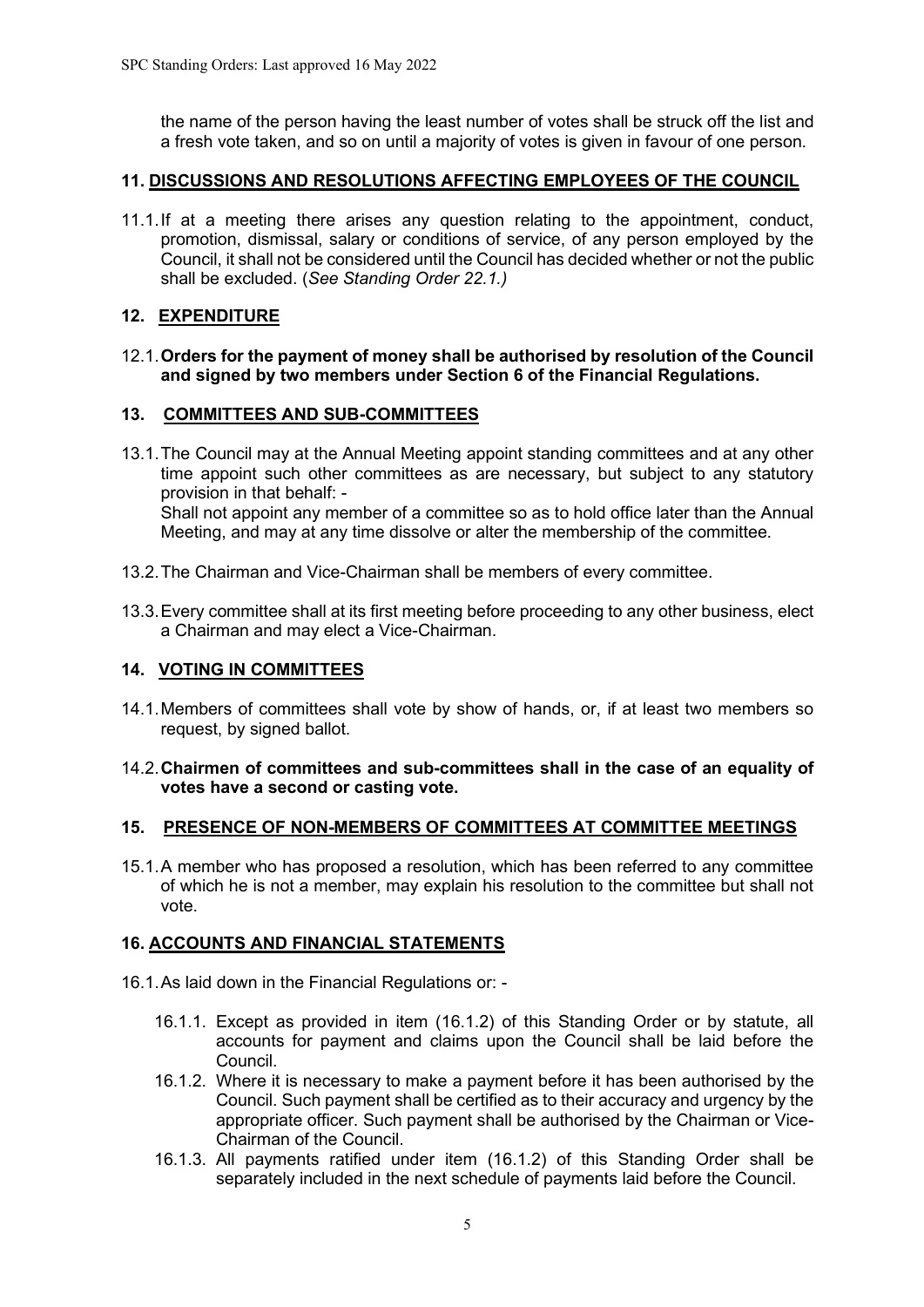the name of the person having the least number of votes shall be struck off the list and a fresh vote taken, and so on until a majority of votes is given in favour of one person.

## **11. DISCUSSIONS AND RESOLUTIONS AFFECTING EMPLOYEES OF THE COUNCIL**

11.1.If at a meeting there arises any question relating to the appointment, conduct, promotion, dismissal, salary or conditions of service, of any person employed by the Council, it shall not be considered until the Council has decided whether or not the public shall be excluded. (*See Standing Order 22.1.)*

## **12. EXPENDITURE**

#### 12.1.**Orders for the payment of money shall be authorised by resolution of the Council and signed by two members under Section 6 of the Financial Regulations.**

## **13. COMMITTEES AND SUB-COMMITTEES**

- 13.1.The Council may at the Annual Meeting appoint standing committees and at any other time appoint such other committees as are necessary, but subject to any statutory provision in that behalf: - Shall not appoint any member of a committee so as to hold office later than the Annual Meeting, and may at any time dissolve or alter the membership of the committee.
- 13.2.The Chairman and Vice-Chairman shall be members of every committee.
- 13.3.Every committee shall at its first meeting before proceeding to any other business, elect a Chairman and may elect a Vice-Chairman.

#### **14. VOTING IN COMMITTEES**

14.1.Members of committees shall vote by show of hands, or, if at least two members so request, by signed ballot.

#### 14.2.**Chairmen of committees and sub-committees shall in the case of an equality of votes have a second or casting vote.**

#### **15. PRESENCE OF NON-MEMBERS OF COMMITTEES AT COMMITTEE MEETINGS**

15.1.A member who has proposed a resolution, which has been referred to any committee of which he is not a member, may explain his resolution to the committee but shall not vote.

#### **16. ACCOUNTS AND FINANCIAL STATEMENTS**

- 16.1.As laid down in the Financial Regulations or:
	- 16.1.1. Except as provided in item (16.1.2) of this Standing Order or by statute, all accounts for payment and claims upon the Council shall be laid before the Council.
	- 16.1.2. Where it is necessary to make a payment before it has been authorised by the Council. Such payment shall be certified as to their accuracy and urgency by the appropriate officer. Such payment shall be authorised by the Chairman or Vice-Chairman of the Council.
	- 16.1.3. All payments ratified under item (16.1.2) of this Standing Order shall be separately included in the next schedule of payments laid before the Council.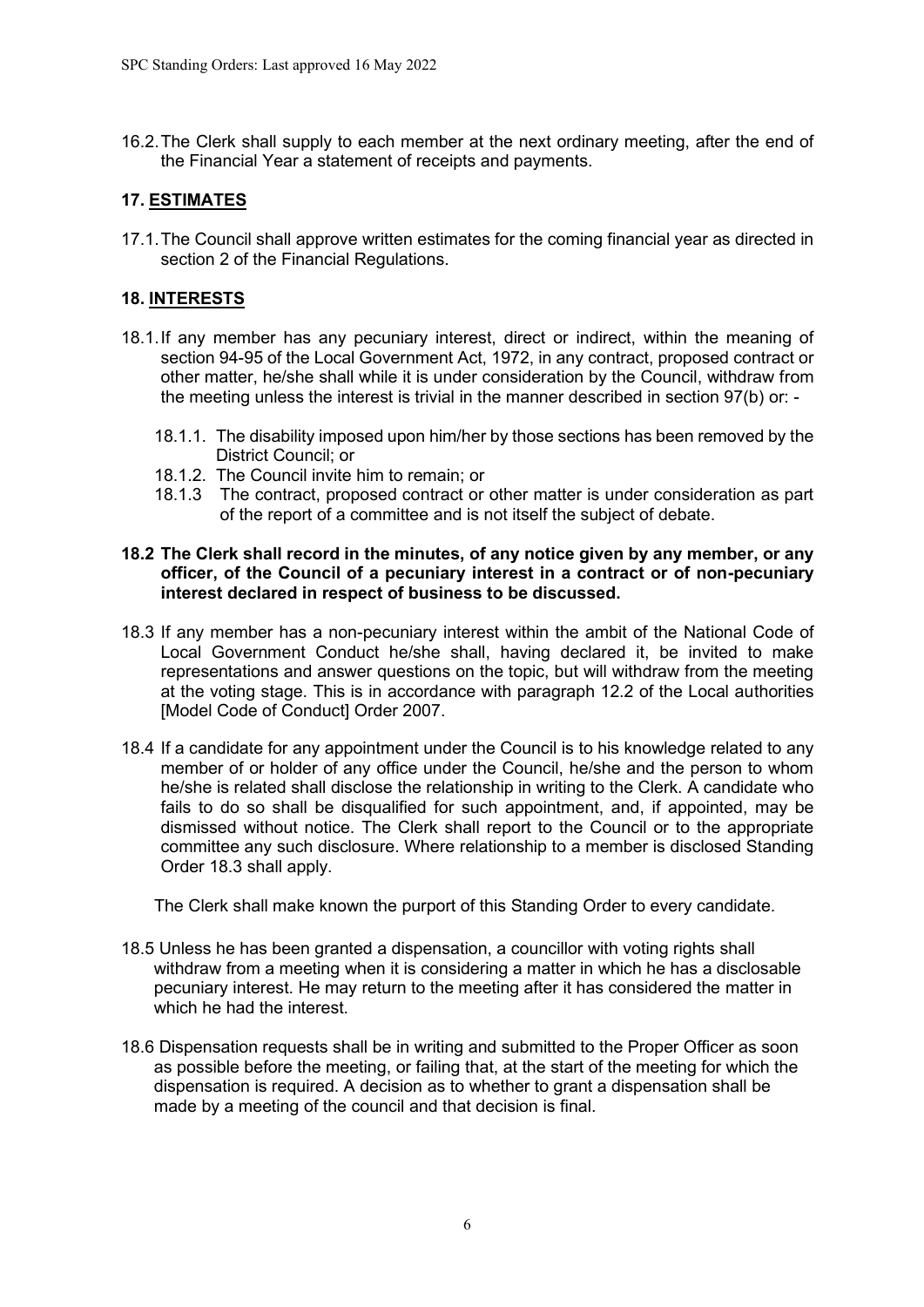16.2.The Clerk shall supply to each member at the next ordinary meeting, after the end of the Financial Year a statement of receipts and payments.

# **17. ESTIMATES**

17.1.The Council shall approve written estimates for the coming financial year as directed in section 2 of the Financial Regulations.

# **18. INTERESTS**

- 18.1.If any member has any pecuniary interest, direct or indirect, within the meaning of section 94-95 of the Local Government Act, 1972, in any contract, proposed contract or other matter, he/she shall while it is under consideration by the Council, withdraw from the meeting unless the interest is trivial in the manner described in section 97(b) or: -
	- 18.1.1. The disability imposed upon him/her by those sections has been removed by the District Council; or
	- 18.1.2. The Council invite him to remain; or
	- 18.1.3 The contract, proposed contract or other matter is under consideration as part of the report of a committee and is not itself the subject of debate.

#### **18.2 The Clerk shall record in the minutes, of any notice given by any member, or any officer, of the Council of a pecuniary interest in a contract or of non-pecuniary interest declared in respect of business to be discussed.**

- 18.3 If any member has a non-pecuniary interest within the ambit of the National Code of Local Government Conduct he/she shall, having declared it, be invited to make representations and answer questions on the topic, but will withdraw from the meeting at the voting stage. This is in accordance with paragraph 12.2 of the Local authorities [Model Code of Conduct] Order 2007.
- 18.4 If a candidate for any appointment under the Council is to his knowledge related to any member of or holder of any office under the Council, he/she and the person to whom he/she is related shall disclose the relationship in writing to the Clerk. A candidate who fails to do so shall be disqualified for such appointment, and, if appointed, may be dismissed without notice. The Clerk shall report to the Council or to the appropriate committee any such disclosure. Where relationship to a member is disclosed Standing Order 18.3 shall apply.

The Clerk shall make known the purport of this Standing Order to every candidate.

- 18.5 Unless he has been granted a dispensation, a councillor with voting rights shall withdraw from a meeting when it is considering a matter in which he has a disclosable pecuniary interest. He may return to the meeting after it has considered the matter in which he had the interest.
- 18.6 Dispensation requests shall be in writing and submitted to the Proper Officer as soon as possible before the meeting, or failing that, at the start of the meeting for which the dispensation is required. A decision as to whether to grant a dispensation shall be made by a meeting of the council and that decision is final.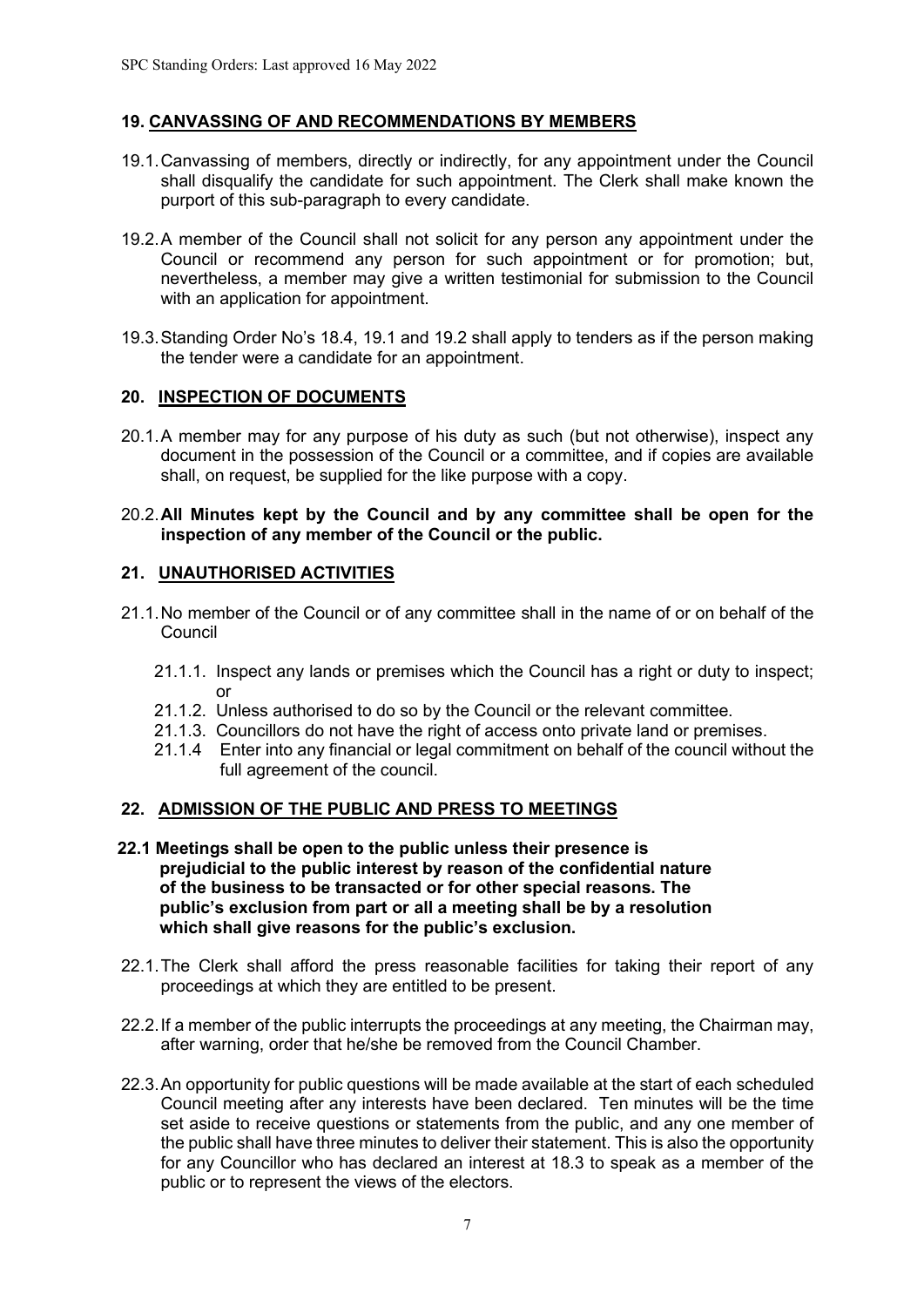## **19. CANVASSING OF AND RECOMMENDATIONS BY MEMBERS**

- 19.1.Canvassing of members, directly or indirectly, for any appointment under the Council shall disqualify the candidate for such appointment. The Clerk shall make known the purport of this sub-paragraph to every candidate.
- 19.2.A member of the Council shall not solicit for any person any appointment under the Council or recommend any person for such appointment or for promotion; but, nevertheless, a member may give a written testimonial for submission to the Council with an application for appointment.
- 19.3.Standing Order No's 18.4, 19.1 and 19.2 shall apply to tenders as if the person making the tender were a candidate for an appointment.

## **20. INSPECTION OF DOCUMENTS**

- 20.1.A member may for any purpose of his duty as such (but not otherwise), inspect any document in the possession of the Council or a committee, and if copies are available shall, on request, be supplied for the like purpose with a copy.
- 20.2.**All Minutes kept by the Council and by any committee shall be open for the inspection of any member of the Council or the public.**

## **21. UNAUTHORISED ACTIVITIES**

- 21.1.No member of the Council or of any committee shall in the name of or on behalf of the **Council** 
	- 21.1.1. Inspect any lands or premises which the Council has a right or duty to inspect; or
	- 21.1.2. Unless authorised to do so by the Council or the relevant committee.
	- 21.1.3. Councillors do not have the right of access onto private land or premises.
	- 21.1.4 Enter into any financial or legal commitment on behalf of the council without the full agreement of the council.

# **22. ADMISSION OF THE PUBLIC AND PRESS TO MEETINGS**

- **22.1 Meetings shall be open to the public unless their presence is prejudicial to the public interest by reason of the confidential nature of the business to be transacted or for other special reasons. The public's exclusion from part or all a meeting shall be by a resolution which shall give reasons for the public's exclusion.**
- 22.1.The Clerk shall afford the press reasonable facilities for taking their report of any proceedings at which they are entitled to be present.
- 22.2.If a member of the public interrupts the proceedings at any meeting, the Chairman may, after warning, order that he/she be removed from the Council Chamber.
- 22.3.An opportunity for public questions will be made available at the start of each scheduled Council meeting after any interests have been declared. Ten minutes will be the time set aside to receive questions or statements from the public, and any one member of the public shall have three minutes to deliver their statement. This is also the opportunity for any Councillor who has declared an interest at 18.3 to speak as a member of the public or to represent the views of the electors.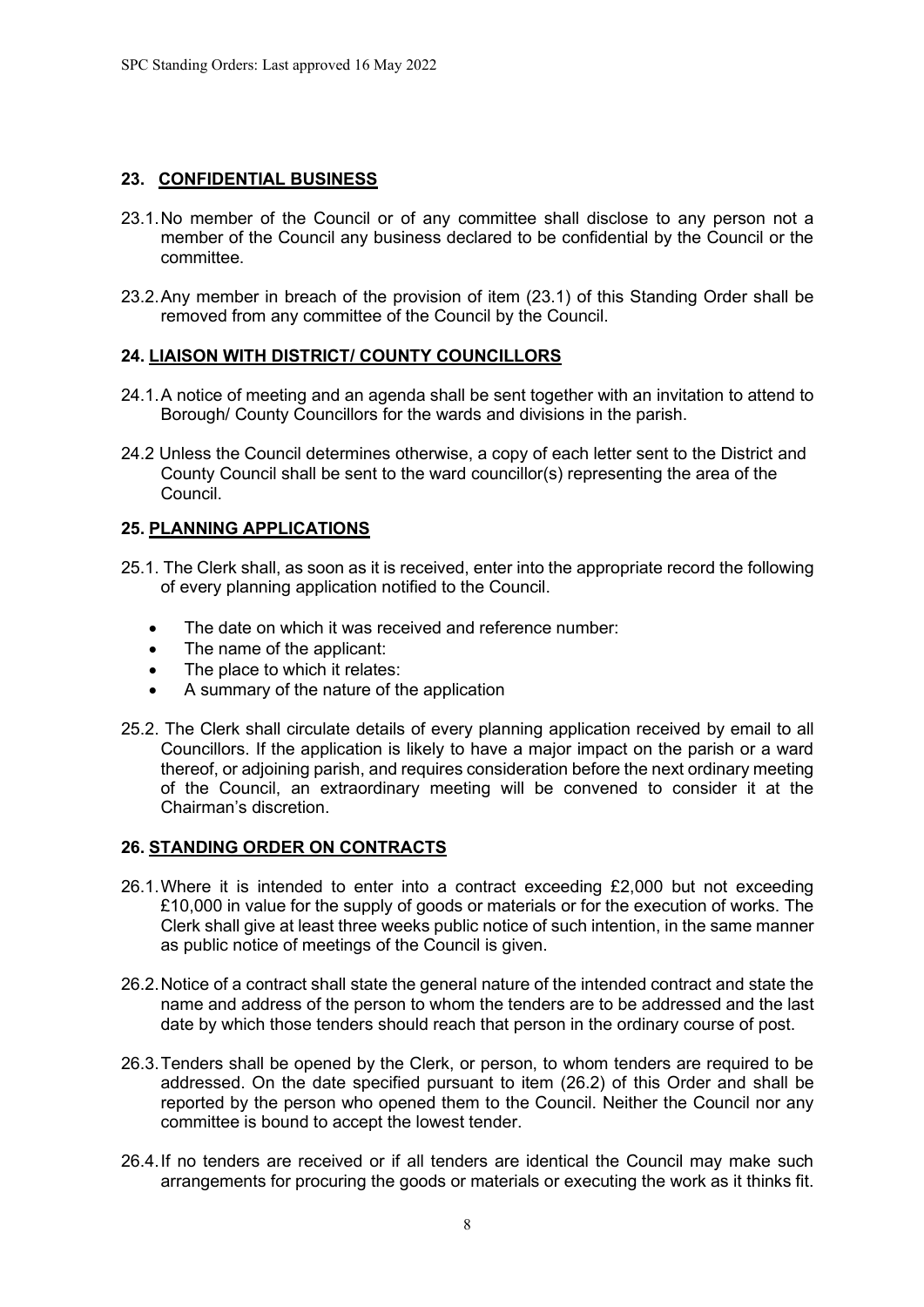# **23. CONFIDENTIAL BUSINESS**

- 23.1.No member of the Council or of any committee shall disclose to any person not a member of the Council any business declared to be confidential by the Council or the committee.
- 23.2.Any member in breach of the provision of item (23.1) of this Standing Order shall be removed from any committee of the Council by the Council.

## **24. LIAISON WITH DISTRICT/ COUNTY COUNCILLORS**

- 24.1.A notice of meeting and an agenda shall be sent together with an invitation to attend to Borough/ County Councillors for the wards and divisions in the parish.
- 24.2 Unless the Council determines otherwise, a copy of each letter sent to the District and County Council shall be sent to the ward councillor(s) representing the area of the Council.

# **25. PLANNING APPLICATIONS**

- 25.1. The Clerk shall, as soon as it is received, enter into the appropriate record the following of every planning application notified to the Council.
	- The date on which it was received and reference number:
	- The name of the applicant:
	- The place to which it relates:
	- A summary of the nature of the application
- 25.2. The Clerk shall circulate details of every planning application received by email to all Councillors. If the application is likely to have a major impact on the parish or a ward thereof, or adjoining parish, and requires consideration before the next ordinary meeting of the Council, an extraordinary meeting will be convened to consider it at the Chairman's discretion.

#### **26. STANDING ORDER ON CONTRACTS**

- 26.1.Where it is intended to enter into a contract exceeding £2,000 but not exceeding £10,000 in value for the supply of goods or materials or for the execution of works. The Clerk shall give at least three weeks public notice of such intention, in the same manner as public notice of meetings of the Council is given.
- 26.2.Notice of a contract shall state the general nature of the intended contract and state the name and address of the person to whom the tenders are to be addressed and the last date by which those tenders should reach that person in the ordinary course of post.
- 26.3.Tenders shall be opened by the Clerk, or person, to whom tenders are required to be addressed. On the date specified pursuant to item (26.2) of this Order and shall be reported by the person who opened them to the Council. Neither the Council nor any committee is bound to accept the lowest tender.
- 26.4.If no tenders are received or if all tenders are identical the Council may make such arrangements for procuring the goods or materials or executing the work as it thinks fit.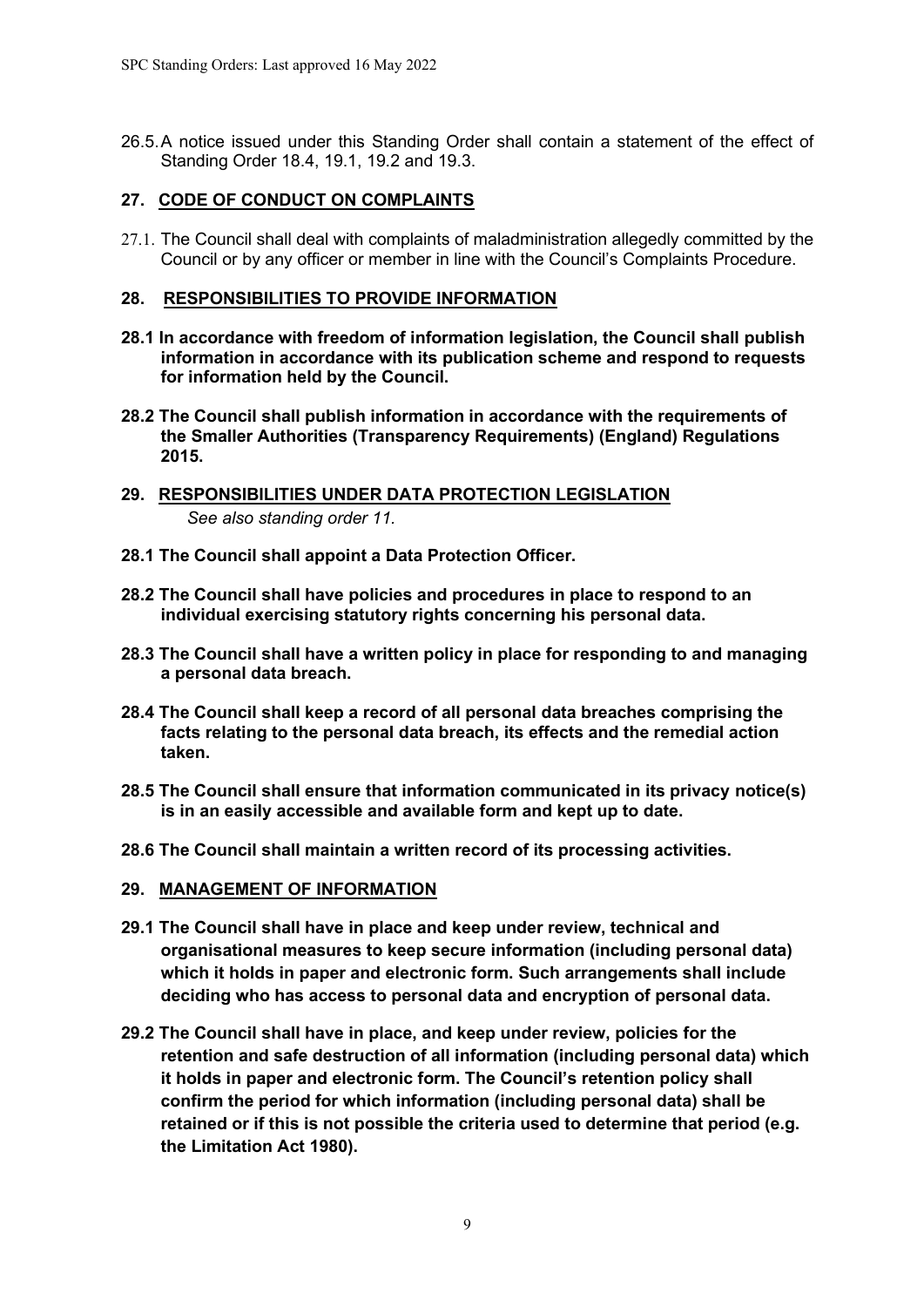26.5.A notice issued under this Standing Order shall contain a statement of the effect of Standing Order 18.4, 19.1, 19.2 and 19.3.

## **27. CODE OF CONDUCT ON COMPLAINTS**

27.1. The Council shall deal with complaints of maladministration allegedly committed by the Council or by any officer or member in line with the Council's Complaints Procedure.

#### **28. RESPONSIBILITIES TO PROVIDE INFORMATION**

- **28.1 In accordance with freedom of information legislation, the Council shall publish information in accordance with its publication scheme and respond to requests for information held by the Council.**
- **28.2 The Council shall publish information in accordance with the requirements of the Smaller Authorities (Transparency Requirements) (England) Regulations 2015.**
- **29. RESPONSIBILITIES UNDER DATA PROTECTION LEGISLATION**  *See also standing order 11.*
- **28.1 The Council shall appoint a Data Protection Officer.**
- **28.2 The Council shall have policies and procedures in place to respond to an individual exercising statutory rights concerning his personal data.**
- **28.3 The Council shall have a written policy in place for responding to and managing a personal data breach.**
- **28.4 The Council shall keep a record of all personal data breaches comprising the facts relating to the personal data breach, its effects and the remedial action taken.**
- **28.5 The Council shall ensure that information communicated in its privacy notice(s) is in an easily accessible and available form and kept up to date.**
- **28.6 The Council shall maintain a written record of its processing activities.**

#### **29. MANAGEMENT OF INFORMATION**

- **29.1 The Council shall have in place and keep under review, technical and organisational measures to keep secure information (including personal data) which it holds in paper and electronic form. Such arrangements shall include deciding who has access to personal data and encryption of personal data.**
- **29.2 The Council shall have in place, and keep under review, policies for the retention and safe destruction of all information (including personal data) which it holds in paper and electronic form. The Council's retention policy shall confirm the period for which information (including personal data) shall be retained or if this is not possible the criteria used to determine that period (e.g. the Limitation Act 1980).**